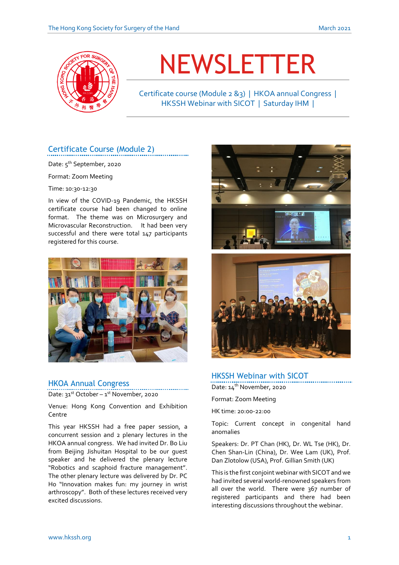

# NEWSLETTER

Certificate course (Module 2 &3) | HKOA annual Congress | HKSSH Webinar with SICOT | Saturday IHM |

# Certificate Course (Module 2)

Date: 5<sup>th</sup> September**,** 2020

Format: Zoom Meeting

Time: 10:30-12:30

In view of the COVID-19 Pandemic, the HKSSH certificate course had been changed to online format. The theme was on Microsurgery and Microvascular Reconstruction. It had been very successful and there were total 147 participants registered for this course.



### HKOA Annual Congress

Date: 31<sup>st</sup> October – 1<sup>st</sup> November, 2020

Venue: Hong Kong Convention and Exhibition Centre

This year HKSSH had a free paper session, a concurrent session and 2 plenary lectures in the HKOA annual congress. We had invited Dr. Bo Liu from Beijing Jishuitan Hospital to be our guest speaker and he delivered the plenary lecture "Robotics and scaphoid fracture management". The other plenary lecture was delivered by Dr. PC Ho "Innovation makes fun: my journey in wrist arthroscopy". Both of these lectures received very excited discussions.





## HKSSH Webinar with SICOT

Date: 14<sup>th</sup> November, 2020

Format: Zoom Meeting

HK time: 20:00-22:00

Topic: Current concept in congenital hand anomalies

Speakers: Dr. PT Chan (HK), Dr. WL Tse (HK), Dr. Chen Shan-Lin (China), Dr. Wee Lam (UK), Prof. Dan Zlotolow (USA), Prof. Gillian Smith (UK)

This is the first conjoint webinar with SICOT and we had invited several world-renowned speakers from all over the world. There were 367 number of registered participants and there had been interesting discussions throughout the webinar.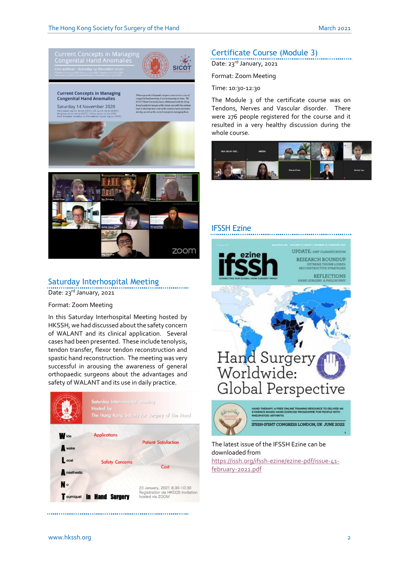

# Saturday Interhospital Meeting

Date: 23rd January, 2021

Format: Zoom Meeting

In this Saturday Interhospital Meeting hosted by HKSSH, we had discussed about the safety concern of WALANT and its clinical application. Several cases had been presented. These include tenolysis, tendon transfer, flexor tendon reconstruction and spastic hand reconstruction. The meeting was very successful in arousing the awareness of general orthopaedic surgeons about the advantages and safety of WALANT and its use in daily practice.



Certificate Course (Module 3)

Date: 23<sup>rd</sup> January, 2021

#### Format: Zoom Meeting

Time: 10:30-12:30

The Module 3 of the certificate course was on Tendons, Nerves and Vascular disorder. There were 276 people registered for the course and it resulted in a very healthy discussion during the whole course.



# IFSSH Ezine



#### The latest issue of the IFSSH Ezine can be downloaded from [https://issh.org/ifssh-ezine/ezine-pdf/issue-41-](https://issh.org/ifssh-ezine/ezine-pdf/issue-41-february-2021.pdf)

[february-2021.pdf](https://issh.org/ifssh-ezine/ezine-pdf/issue-41-february-2021.pdf)